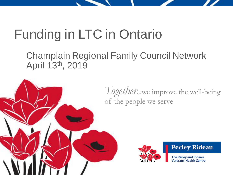## Funding in LTC in Ontario

Champlain Regional Family Council Network April 13th, 2019



*Together*...we improve the well-being of the people we serve



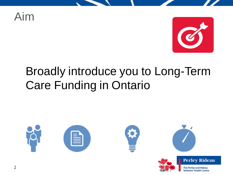Aim



**The Perley and Rideau Veterans' Health Centre** 

## Broadly introduce you to Long-Term Care Funding in Ontario

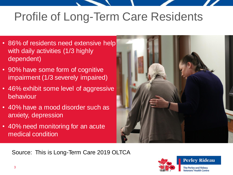## Profile of Long-Term Care Residents

- 86% of residents need extensive help with daily activities (1/3 highly dependent)
- 90% have some form of cognitive impairment (1/3 severely impaired)
- 46% exhibit some level of aggressive behaviour
- 40% have a mood disorder such as anxiety, depression
- 40% need monitoring for an acute medical condition



Source: This is Long-Term Care 2019 OLTCA

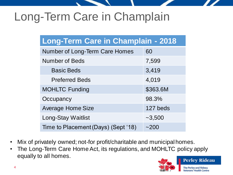## Long-Term Care in Champlain

| Long-Term Care in Champlain - 2018  |          |  |  |  |  |
|-------------------------------------|----------|--|--|--|--|
| Number of Long-Term Care Homes      | 60       |  |  |  |  |
| <b>Number of Beds</b>               | 7,599    |  |  |  |  |
| <b>Basic Beds</b>                   | 3,419    |  |  |  |  |
| <b>Preferred Beds</b>               | 4,019    |  |  |  |  |
| <b>MOHLTC Funding</b>               | \$363.6M |  |  |  |  |
| Occupancy                           | 98.3%    |  |  |  |  |
| <b>Average Home Size</b>            | 127 beds |  |  |  |  |
| Long-Stay Waitlist                  | $-3,500$ |  |  |  |  |
| Time to Placement (Days) (Sept '18) | $-200$   |  |  |  |  |

- Mix of privately owned; not-for profit/charitable and municipal homes.
- The Long-Term Care Home Act, its regulations, and MOHLTC policy apply equally to all homes.

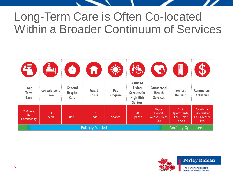## Long-Term Care is Often Co-located Within a Broader Continuum of Services

| 日                                                     | $\mathbf{L}_1$              | Ö                                 | A                     | 类                   | 松                                                                                      | <b>C</b>                                              | H                                                 |                                                     |
|-------------------------------------------------------|-----------------------------|-----------------------------------|-----------------------|---------------------|----------------------------------------------------------------------------------------|-------------------------------------------------------|---------------------------------------------------|-----------------------------------------------------|
| Long<br><b>Term</b><br>Care                           | <b>Convalescent</b><br>Care | General<br><b>Respite</b><br>Care | Guest<br><b>House</b> | Day<br>Program      | <b>Assisted</b><br>Living<br><b>Services for</b><br><b>High-Risk</b><br><b>Seniors</b> | <b>Commercial</b><br><b>Health</b><br><b>Services</b> | <b>Seniors</b><br><b>Housing</b>                  | <b>Commercial</b><br><b>Activities</b>              |
| 250 Vets,<br>160<br>Community                         | 34<br>beds                  | 6<br><b>Beds</b>                  | 12<br><b>Beds</b>     | 75<br><b>Spaces</b> | 90<br><b>Spaces</b>                                                                    | Physio,<br>Dental.<br><b>Audio Clinics,</b><br>Etc.   | 139<br>Apartments,<br>1200 Solar<br><b>Panels</b> | Cafeteria,<br>Pub, Barber,<br>Hair Dresser,<br>Etc. |
| <b>Publicly Funded</b><br><b>Ancillary Operations</b> |                             |                                   |                       |                     |                                                                                        |                                                       |                                                   |                                                     |

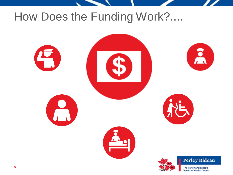## How Does the Funding Work?....

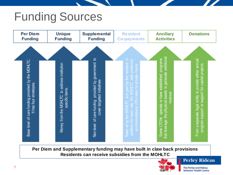## Funding Sources



**Per Diem and Supplementary funding may have built in claw back provisions Residents can receive subsidies from the MOHLTC**



**Perley Rideau**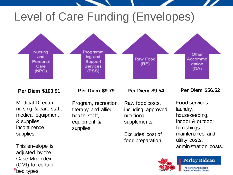## Level of Care Funding (Envelopes)



#### **Per Diem \$100.91**

Medical Director, nursing & care staff, medical equipment & supplies, incontinence supplies.

This envelope is adjusted by the Case Mix Index (CMI) for certain <sup>8</sup>bed types.

#### **Per Diem \$9.79**

Program, recreation, therapy and allied health staff, equipment & supplies.

**Per Diem \$9.54**

Raw food costs, including approved nutritional supplements.

Excludes cost of food preparation

#### **Per Diem \$56.52**

Food services, laundry, housekeeping, indoor & outdoor furnishings, maintenance and utility costs, administration costs.



**Perley Rideau**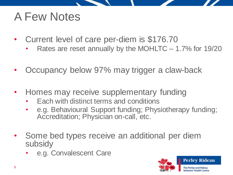## A Few Notes

- Current level of care per-diem is \$176.70
	- Rates are reset annually by the MOHLTC 1.7% for 19/20
- Occupancy below 97% may trigger a claw-back
- Homes may receive supplementary funding
	- Each with distinct terms and conditions
	- e.g. Behavioural Support funding; Physiotherapy funding; Accreditation; Physician on-call, etc.
- Some bed types receive an additional per diem subsidy
	- e.g. Convalescent Care

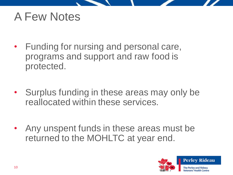### A Few Notes

- Funding for nursing and personal care, programs and support and raw food is protected.
- Surplus funding in these areas may only be reallocated within these services.
- Any unspent funds in these areas must be returned to the MOHLTC at year end.

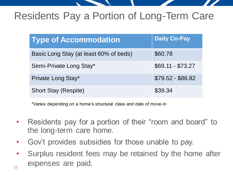### Residents Pay a Portion of Long-Term Care

| <b>Type of Accommodation</b>           | <b>Daily Co-Pay</b> |
|----------------------------------------|---------------------|
| Basic Long Stay (at least 60% of beds) | \$60.78             |
| Semi-Private Long Stay*                | $$69.11 - $73.27$   |
| Private Long Stay*                     | \$79.52 - \$86.82   |
| <b>Short Stay (Respite)</b>            | \$39.34             |

\*Varies depending on a home's structural class and date of move-in

- Residents pay for a portion of their "room and board" to the long-term care home.
- Gov't provides subsidies for those unable to pay.
- 11 • Surplus resident fees may be retained by the home after expenses are paid.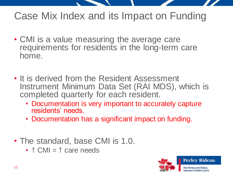### Case Mix Index and its Impact on Funding

- CMI is a value measuring the average care requirements for residents in the long-term care home.
- It is derived from the Resident Assessment Instrument Minimum Data Set (RAI MDS), which is completed quarterly for each resident.
	- Documentation is very important to accurately capture residents' needs.
	- Documentation has a significant impact on funding.
- The standard, base CMI is 1.0.
	- $\cdot$   $\uparrow$  CMI =  $\uparrow$  care needs

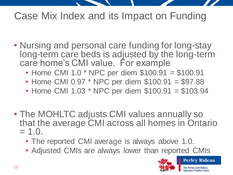### Case Mix Index and its Impact on Funding

- Nursing and personal care funding for long-stay long-term care beds is adjusted by the long-term care home's CMI value. For example
	- Home CMI 1.0 \* NPC per diem \$100.91 = \$100.91
	- Home CMI 0.97 \* NPC per diem \$100.91 = \$97.88
	- Home CMI 1.03 \* NPC per diem \$100.91 = \$103.94
- The MOHLTC adjusts CMI values annually so that the average CMI across all homes in Ontario  $= 1.0.$ 
	- The reported CMI average is always above 1.0.
	- Adjusted CMIs are always lower than reported CMIs

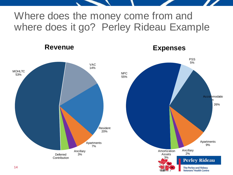### Where does the money come from and where does it go? Perley Rideau Example

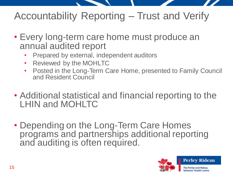### Accountability Reporting – Trust and Verify

- Every long-term care home must produce an annual audited report
	- Prepared by external, independent auditors
	- Reviewed by the MOHLTC
	- Posted in the Long-Term Care Home, presented to Family Council and Resident Council
- Additional statistical and financial reporting to the LHIN and MOHLTC
- Depending on the Long-Term Care Homes programs and partnerships additional reporting and auditing is often required.

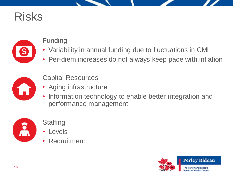## Risks



#### Funding

- Variability in annual funding due to fluctuations in CMI
- Per-diem increases do not always keep pace with inflation



#### Capital Resources

- Aging infrastructure
- Information technology to enable better integration and performance management



#### **Staffing**

- Levels
- Recruitment

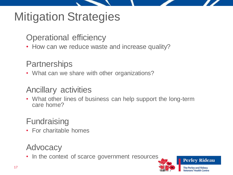## Mitigation Strategies

Operational efficiency

• How can we reduce waste and increase quality?

#### **Partnerships**

• What can we share with other organizations?

#### Ancillary activities

• What other lines of business can help support the long-term care home?

### **Fundraising**

• For charitable homes

#### Advocacy

• In the context of scarce government resources